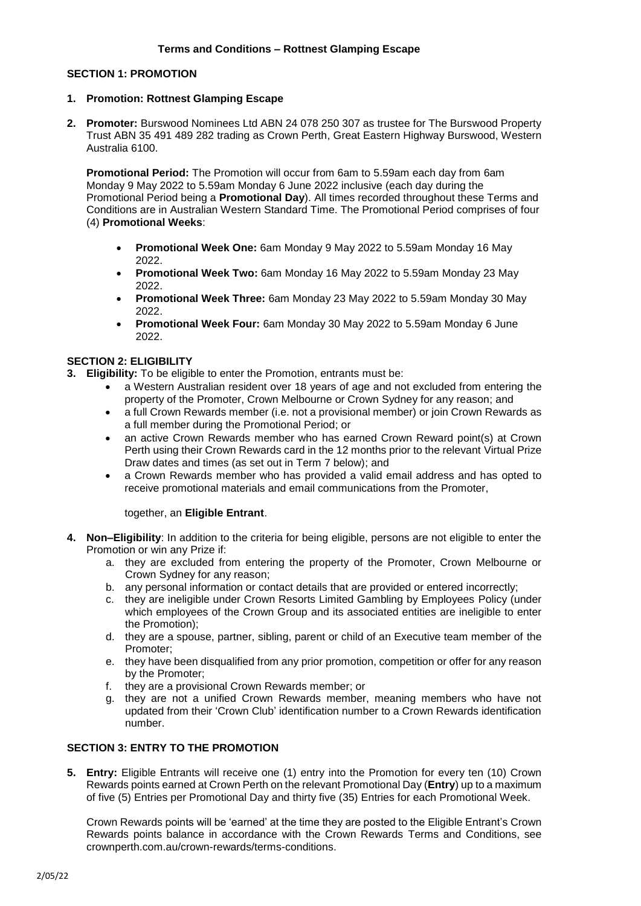# **SECTION 1: PROMOTION**

#### **1. Promotion: Rottnest Glamping Escape**

**2. Promoter:** Burswood Nominees Ltd ABN 24 078 250 307 as trustee for The Burswood Property Trust ABN 35 491 489 282 trading as Crown Perth, Great Eastern Highway Burswood, Western Australia 6100.

**Promotional Period:** The Promotion will occur from 6am to 5.59am each day from 6am Monday 9 May 2022 to 5.59am Monday 6 June 2022 inclusive (each day during the Promotional Period being a **Promotional Day**). All times recorded throughout these Terms and Conditions are in Australian Western Standard Time. The Promotional Period comprises of four (4) **Promotional Weeks**:

- **Promotional Week One:** 6am Monday 9 May 2022 to 5.59am Monday 16 May 2022.
- **Promotional Week Two:** 6am Monday 16 May 2022 to 5.59am Monday 23 May 2022.
- **Promotional Week Three:** 6am Monday 23 May 2022 to 5.59am Monday 30 May 2022.
- **Promotional Week Four:** 6am Monday 30 May 2022 to 5.59am Monday 6 June 2022.

### **SECTION 2: ELIGIBILITY**

**3. Eligibility:** To be eligible to enter the Promotion, entrants must be:

- a Western Australian resident over 18 years of age and not excluded from entering the property of the Promoter, Crown Melbourne or Crown Sydney for any reason; and
- a full Crown Rewards member (i.e. not a provisional member) or join Crown Rewards as a full member during the Promotional Period; or
- an active Crown Rewards member who has earned Crown Reward point(s) at Crown Perth using their Crown Rewards card in the 12 months prior to the relevant Virtual Prize Draw dates and times (as set out in Term 7 below); and
- a Crown Rewards member who has provided a valid email address and has opted to receive promotional materials and email communications from the Promoter,

# together, an **Eligible Entrant**.

- **4. Non–Eligibility**: In addition to the criteria for being eligible, persons are not eligible to enter the Promotion or win any Prize if:
	- a. they are excluded from entering the property of the Promoter, Crown Melbourne or Crown Sydney for any reason;
	- b. any personal information or contact details that are provided or entered incorrectly;
	- c. they are ineligible under Crown Resorts Limited Gambling by Employees Policy (under which employees of the Crown Group and its associated entities are ineligible to enter the Promotion);
	- d. they are a spouse, partner, sibling, parent or child of an Executive team member of the Promoter;
	- e. they have been disqualified from any prior promotion, competition or offer for any reason by the Promoter;
	- f. they are a provisional Crown Rewards member; or
	- g. they are not a unified Crown Rewards member, meaning members who have not updated from their 'Crown Club' identification number to a Crown Rewards identification number.

# **SECTION 3: ENTRY TO THE PROMOTION**

**5. Entry:** Eligible Entrants will receive one (1) entry into the Promotion for every ten (10) Crown Rewards points earned at Crown Perth on the relevant Promotional Day (**Entry**) up to a maximum of five (5) Entries per Promotional Day and thirty five (35) Entries for each Promotional Week.

Crown Rewards points will be 'earned' at the time they are posted to the Eligible Entrant's Crown Rewards points balance in accordance with the Crown Rewards Terms and Conditions, see crownperth.com.au/crown-rewards/terms-conditions.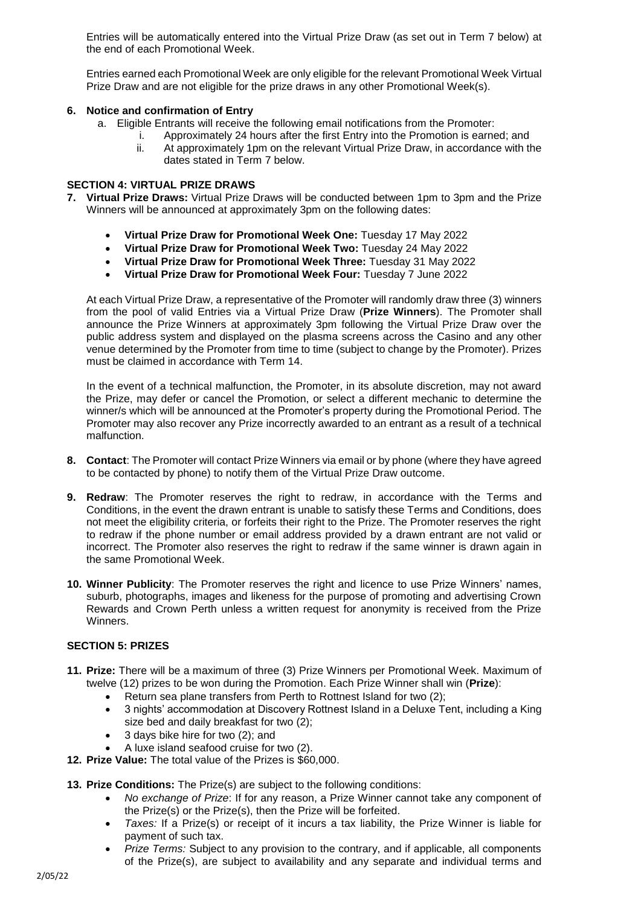Entries will be automatically entered into the Virtual Prize Draw (as set out in Term 7 below) at the end of each Promotional Week.

Entries earned each Promotional Week are only eligible for the relevant Promotional Week Virtual Prize Draw and are not eligible for the prize draws in any other Promotional Week(s).

# **6. Notice and confirmation of Entry**

- a. Eligible Entrants will receive the following email notifications from the Promoter:
	- i. Approximately 24 hours after the first Entry into the Promotion is earned; and ii. At approximately 1pm on the relevant Virtual Prize Draw, in accordance with the dates stated in Term 7 below.

# **SECTION 4: VIRTUAL PRIZE DRAWS**

- **7. Virtual Prize Draws:** Virtual Prize Draws will be conducted between 1pm to 3pm and the Prize Winners will be announced at approximately 3pm on the following dates:
	- **Virtual Prize Draw for Promotional Week One:** Tuesday 17 May 2022
	- **Virtual Prize Draw for Promotional Week Two:** Tuesday 24 May 2022
	- **Virtual Prize Draw for Promotional Week Three:** Tuesday 31 May 2022
	- **Virtual Prize Draw for Promotional Week Four:** Tuesday 7 June 2022

At each Virtual Prize Draw, a representative of the Promoter will randomly draw three (3) winners from the pool of valid Entries via a Virtual Prize Draw (**Prize Winners**). The Promoter shall announce the Prize Winners at approximately 3pm following the Virtual Prize Draw over the public address system and displayed on the plasma screens across the Casino and any other venue determined by the Promoter from time to time (subject to change by the Promoter). Prizes must be claimed in accordance with Term 14.

In the event of a technical malfunction, the Promoter, in its absolute discretion, may not award the Prize, may defer or cancel the Promotion, or select a different mechanic to determine the winner/s which will be announced at the Promoter's property during the Promotional Period. The Promoter may also recover any Prize incorrectly awarded to an entrant as a result of a technical malfunction.

- **8. Contact**: The Promoter will contact Prize Winners via email or by phone (where they have agreed to be contacted by phone) to notify them of the Virtual Prize Draw outcome.
- **9. Redraw**: The Promoter reserves the right to redraw, in accordance with the Terms and Conditions, in the event the drawn entrant is unable to satisfy these Terms and Conditions, does not meet the eligibility criteria, or forfeits their right to the Prize. The Promoter reserves the right to redraw if the phone number or email address provided by a drawn entrant are not valid or incorrect. The Promoter also reserves the right to redraw if the same winner is drawn again in the same Promotional Week.
- **10. Winner Publicity**: The Promoter reserves the right and licence to use Prize Winners' names, suburb, photographs, images and likeness for the purpose of promoting and advertising Crown Rewards and Crown Perth unless a written request for anonymity is received from the Prize Winners.

## **SECTION 5: PRIZES**

- **11. Prize:** There will be a maximum of three (3) Prize Winners per Promotional Week. Maximum of twelve (12) prizes to be won during the Promotion. Each Prize Winner shall win (**Prize**):
	- Return sea plane transfers from Perth to Rottnest Island for two (2);
	- 3 nights' accommodation at Discovery Rottnest Island in a Deluxe Tent, including a King size bed and daily breakfast for two (2);
	- 3 days bike hire for two (2); and
	- A luxe island seafood cruise for two (2).
- **12. Prize Value:** The total value of the Prizes is \$60,000.
- **13. Prize Conditions:** The Prize(s) are subject to the following conditions:
	- *No exchange of Prize*: If for any reason, a Prize Winner cannot take any component of the Prize(s) or the Prize(s), then the Prize will be forfeited.
	- *Taxes:* If a Prize(s) or receipt of it incurs a tax liability, the Prize Winner is liable for payment of such tax.
	- *Prize Terms:* Subject to any provision to the contrary, and if applicable, all components of the Prize(s), are subject to availability and any separate and individual terms and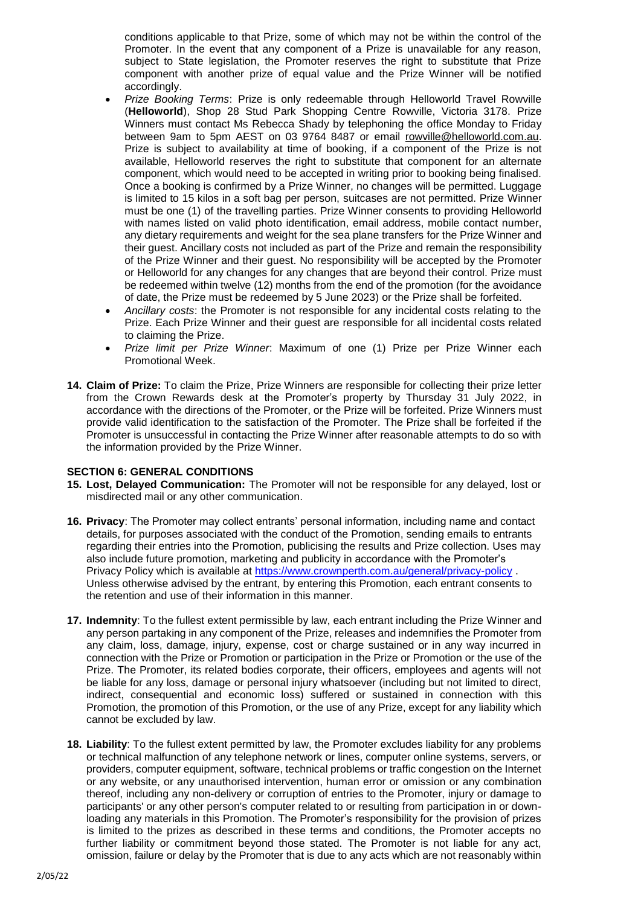conditions applicable to that Prize, some of which may not be within the control of the Promoter. In the event that any component of a Prize is unavailable for any reason, subject to State legislation, the Promoter reserves the right to substitute that Prize component with another prize of equal value and the Prize Winner will be notified accordingly.

- *Prize Booking Terms*: Prize is only redeemable through Helloworld Travel Rowville (**Helloworld**), Shop 28 Stud Park Shopping Centre Rowville, Victoria 3178. Prize Winners must contact Ms Rebecca Shady by telephoning the office Monday to Friday between 9am to 5pm AEST on 03 9764 8487 or email [rowville@helloworld.com.au.](mailto:rowville@helloworld.com.au) Prize is subject to availability at time of booking, if a component of the Prize is not available, Helloworld reserves the right to substitute that component for an alternate component, which would need to be accepted in writing prior to booking being finalised. Once a booking is confirmed by a Prize Winner, no changes will be permitted. Luggage is limited to 15 kilos in a soft bag per person, suitcases are not permitted. Prize Winner must be one (1) of the travelling parties. Prize Winner consents to providing Helloworld with names listed on valid photo identification, email address, mobile contact number, any dietary requirements and weight for the sea plane transfers for the Prize Winner and their guest. Ancillary costs not included as part of the Prize and remain the responsibility of the Prize Winner and their guest. No responsibility will be accepted by the Promoter or Helloworld for any changes for any changes that are beyond their control. Prize must be redeemed within twelve (12) months from the end of the promotion (for the avoidance of date, the Prize must be redeemed by 5 June 2023) or the Prize shall be forfeited.
- *Ancillary costs*: the Promoter is not responsible for any incidental costs relating to the Prize. Each Prize Winner and their guest are responsible for all incidental costs related to claiming the Prize.
- *Prize limit per Prize Winner*: Maximum of one (1) Prize per Prize Winner each Promotional Week.
- **14. Claim of Prize:** To claim the Prize, Prize Winners are responsible for collecting their prize letter from the Crown Rewards desk at the Promoter's property by Thursday 31 July 2022, in accordance with the directions of the Promoter, or the Prize will be forfeited. Prize Winners must provide valid identification to the satisfaction of the Promoter. The Prize shall be forfeited if the Promoter is unsuccessful in contacting the Prize Winner after reasonable attempts to do so with the information provided by the Prize Winner.

#### **SECTION 6: GENERAL CONDITIONS**

- **15. Lost, Delayed Communication:** The Promoter will not be responsible for any delayed, lost or misdirected mail or any other communication.
- **16. Privacy**: The Promoter may collect entrants' personal information, including name and contact details, for purposes associated with the conduct of the Promotion, sending emails to entrants regarding their entries into the Promotion, publicising the results and Prize collection. Uses may also include future promotion, marketing and publicity in accordance with the Promoter's Privacy Policy which is available at<https://www.crownperth.com.au/general/privacy-policy> . Unless otherwise advised by the entrant, by entering this Promotion, each entrant consents to the retention and use of their information in this manner.
- **17. Indemnity**: To the fullest extent permissible by law, each entrant including the Prize Winner and any person partaking in any component of the Prize, releases and indemnifies the Promoter from any claim, loss, damage, injury, expense, cost or charge sustained or in any way incurred in connection with the Prize or Promotion or participation in the Prize or Promotion or the use of the Prize. The Promoter, its related bodies corporate, their officers, employees and agents will not be liable for any loss, damage or personal injury whatsoever (including but not limited to direct, indirect, consequential and economic loss) suffered or sustained in connection with this Promotion, the promotion of this Promotion, or the use of any Prize, except for any liability which cannot be excluded by law.
- **18. Liability**: To the fullest extent permitted by law, the Promoter excludes liability for any problems or technical malfunction of any telephone network or lines, computer online systems, servers, or providers, computer equipment, software, technical problems or traffic congestion on the Internet or any website, or any unauthorised intervention, human error or omission or any combination thereof, including any non-delivery or corruption of entries to the Promoter, injury or damage to participants' or any other person's computer related to or resulting from participation in or downloading any materials in this Promotion. The Promoter's responsibility for the provision of prizes is limited to the prizes as described in these terms and conditions, the Promoter accepts no further liability or commitment beyond those stated. The Promoter is not liable for any act, omission, failure or delay by the Promoter that is due to any acts which are not reasonably within